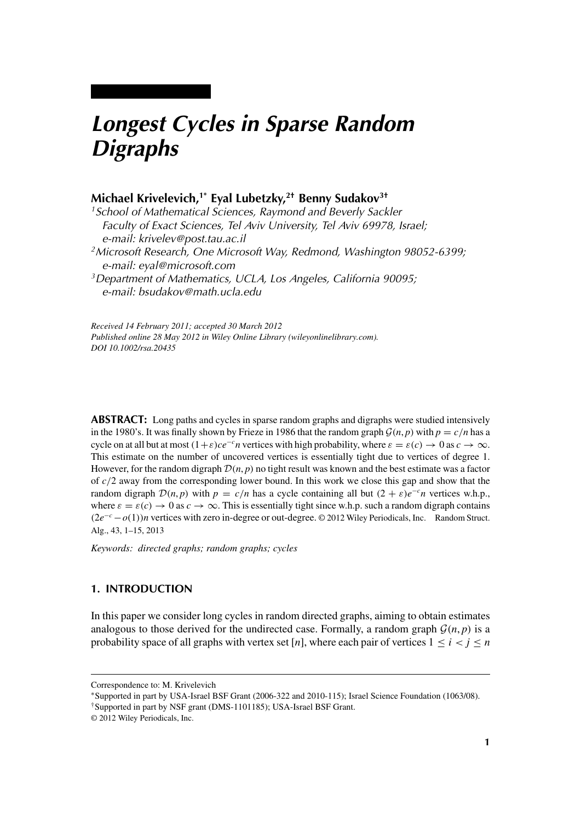# *Longest Cycles in Sparse Random Digraphs*

# **Michael Krivelevich,1\* Eyal Lubetzky,2† Benny Sudakov3†**

*1School of Mathematical Sciences, Raymond and Beverly Sackler Faculty of Exact Sciences, Tel Aviv University, Tel Aviv 69978, Israel; e-mail: krivelev@post.tau.ac.il*

*2Microsoft Research, One Microsoft Way, Redmond, Washington 98052-6399; e-mail: eyal@microsoft.com*

*3Department of Mathematics, UCLA, Los Angeles, California 90095; e-mail: bsudakov@math.ucla.edu*

*Received 14 February 2011; accepted 30 March 2012 Published online 28 May 2012 in Wiley Online Library (wileyonlinelibrary.com). DOI 10.1002/rsa.20435*

**ABSTRACT:** Long paths and cycles in sparse random graphs and digraphs were studied intensively in the 1980's. It was finally shown by Frieze in 1986 that the random graph  $\mathcal{G}(n, p)$  with  $p = c/n$  has a cycle on at all but at most  $(1+\varepsilon)ce^{-c}n$  vertices with high probability, where  $\varepsilon = \varepsilon(c) \to 0$  as  $c \to \infty$ . This estimate on the number of uncovered vertices is essentially tight due to vertices of degree 1. However, for the random digraph  $\mathcal{D}(n, p)$  no tight result was known and the best estimate was a factor of *c/*2 away from the corresponding lower bound. In this work we close this gap and show that the random digraph  $\mathcal{D}(n, p)$  with  $p = c/n$  has a cycle containing all but  $(2 + \varepsilon)e^{-c}n$  vertices w.h.p., where  $\varepsilon = \varepsilon(c) \to 0$  as  $c \to \infty$ . This is essentially tight since w.h.p. such a random digraph contains *(*2*e*<sup>−</sup>*<sup>c</sup>* −*o(*1*))n* vertices with zero in-degree or out-degree. © 2012 Wiley Periodicals, Inc. Random Struct. Alg., 43, 1–15, 2013

*Keywords: directed graphs; random graphs; cycles*

## **1. INTRODUCTION**

In this paper we consider long cycles in random directed graphs, aiming to obtain estimates analogous to those derived for the undirected case. Formally, a random graph  $\mathcal{G}(n, p)$  is a probability space of all graphs with vertex set [*n*], where each pair of vertices  $1 \le i \le j \le n$ 

Correspondence to: M. Krivelevich

<sup>∗</sup>Supported in part by USA-Israel BSF Grant (2006-322 and 2010-115); Israel Science Foundation (1063/08).

<sup>†</sup>Supported in part by NSF grant (DMS-1101185); USA-Israel BSF Grant.

<sup>© 2012</sup> Wiley Periodicals, Inc.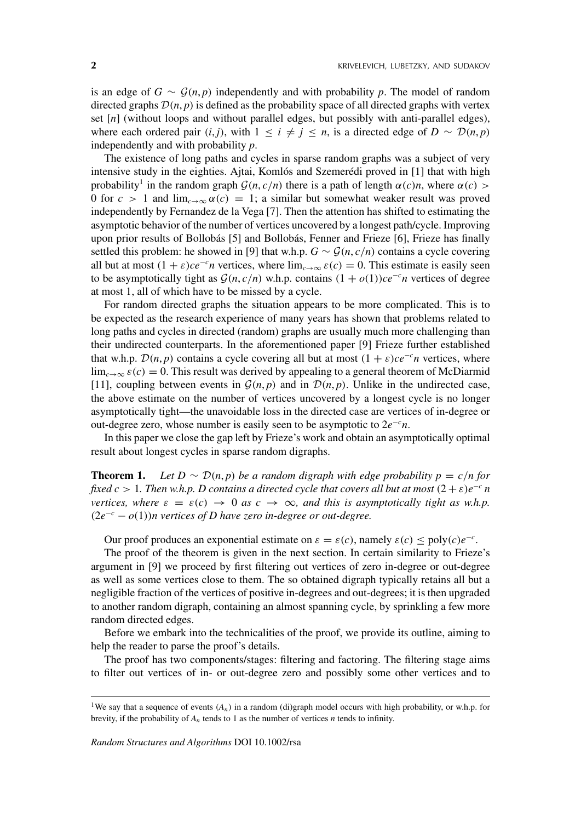is an edge of  $G \sim \mathcal{G}(n, p)$  independently and with probability p. The model of random directed graphs  $\mathcal{D}(n, p)$  is defined as the probability space of all directed graphs with vertex set [*n*] (without loops and without parallel edges, but possibly with anti-parallel edges), where each ordered pair  $(i, j)$ , with  $1 \leq i \neq j \leq n$ , is a directed edge of  $D \sim \mathcal{D}(n, p)$ independently and with probability *p*.

The existence of long paths and cycles in sparse random graphs was a subject of very intensive study in the eighties. Ajtai, Komlós and Szemerédi proved in [1] that with high probability<sup>1</sup> in the random graph  $\mathcal{G}(n, c/n)$  there is a path of length  $\alpha(c)$ *n*, where  $\alpha(c)$  > 0 for  $c > 1$  and  $\lim_{c \to \infty} \alpha(c) = 1$ ; a similar but somewhat weaker result was proved independently by Fernandez de la Vega [7]. Then the attention has shifted to estimating the asymptotic behavior of the number of vertices uncovered by a longest path/cycle. Improving upon prior results of Bollobás [5] and Bollobás, Fenner and Frieze [6], Frieze has finally settled this problem: he showed in [9] that w.h.p.  $G \sim \mathcal{G}(n, c/n)$  contains a cycle covering all but at most  $(1 + \varepsilon)ce^{-c}n$  vertices, where  $\lim_{c\to\infty} \varepsilon(c) = 0$ . This estimate is easily seen to be asymptotically tight as  $G(n, c/n)$  w.h.p. contains  $(1 + o(1))ce^{-c}n$  vertices of degree at most 1, all of which have to be missed by a cycle.

For random directed graphs the situation appears to be more complicated. This is to be expected as the research experience of many years has shown that problems related to long paths and cycles in directed (random) graphs are usually much more challenging than their undirected counterparts. In the aforementioned paper [9] Frieze further established that w.h.p.  $\mathcal{D}(n, p)$  contains a cycle covering all but at most  $(1 + \varepsilon)ce^{-c}n$  vertices, where  $\lim_{c\to\infty} \varepsilon(c) = 0$ . This result was derived by appealing to a general theorem of McDiarmid [11], coupling between events in  $\mathcal{G}(n, p)$  and in  $\mathcal{D}(n, p)$ . Unlike in the undirected case, the above estimate on the number of vertices uncovered by a longest cycle is no longer asymptotically tight—the unavoidable loss in the directed case are vertices of in-degree or out-degree zero, whose number is easily seen to be asymptotic to 2*e*<sup>−</sup>*<sup>c</sup> n*.

In this paper we close the gap left by Frieze's work and obtain an asymptotically optimal result about longest cycles in sparse random digraphs.

**Theorem 1.** *Let*  $D \sim \mathcal{D}(n, p)$  *be a random digraph with edge probability*  $p = c/n$  *for fixed c* > 1*. Then w.h.p. D contains a directed cycle that covers all but at most*  $(2 + \varepsilon)e^{-c}n$ *vertices, where*  $\varepsilon = \varepsilon(c) \rightarrow 0$  *as*  $c \rightarrow \infty$ *, and this is asymptotically tight as w.h.p. (*2*e*<sup>−</sup>*<sup>c</sup>* − *o(*1*))n vertices of D have zero in-degree or out-degree.*

Our proof produces an exponential estimate on  $\varepsilon = \varepsilon(c)$ , namely  $\varepsilon(c) \leq \text{poly}(c)e^{-c}$ .

The proof of the theorem is given in the next section. In certain similarity to Frieze's argument in [9] we proceed by first filtering out vertices of zero in-degree or out-degree as well as some vertices close to them. The so obtained digraph typically retains all but a negligible fraction of the vertices of positive in-degrees and out-degrees; it is then upgraded to another random digraph, containing an almost spanning cycle, by sprinkling a few more random directed edges.

Before we embark into the technicalities of the proof, we provide its outline, aiming to help the reader to parse the proof's details.

The proof has two components/stages: filtering and factoring. The filtering stage aims to filter out vertices of in- or out-degree zero and possibly some other vertices and to

<sup>&</sup>lt;sup>1</sup>We say that a sequence of events  $(A_n)$  in a random (di)graph model occurs with high probability, or w.h.p. for brevity, if the probability of *An* tends to 1 as the number of vertices *n* tends to infinity.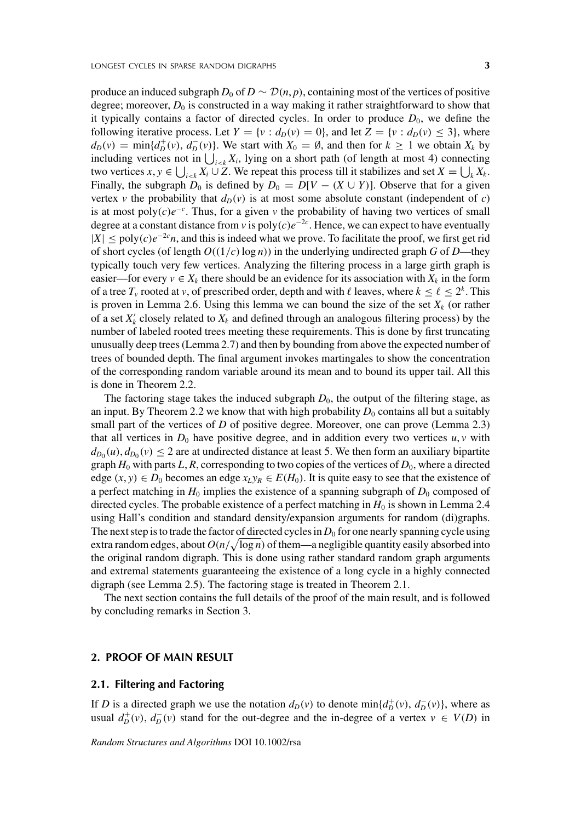produce an induced subgraph  $D_0$  of  $D \sim \mathcal{D}(n, p)$ , containing most of the vertices of positive degree; moreover,  $D_0$  is constructed in a way making it rather straightforward to show that it typically contains a factor of directed cycles. In order to produce  $D_0$ , we define the following iterative process. Let  $Y = \{v : d_D(v) = 0\}$ , and let  $Z = \{v : d_D(v) \le 3\}$ , where  $d_D(v) = \min\{d_D^+(v), d_D^-(v)\}$ . We start with  $X_0 = \emptyset$ , and then for  $k \ge 1$  we obtain  $X_k$  by including vertices not in  $\bigcup_{i \leq k} X_i$ , lying on a short path (of length at most 4) connecting two vertices  $x, y \in \bigcup_{i \le k} X_i \cup Z$ . We repeat this process till it stabilizes and set  $X = \bigcup_k X_k$ . Finally, the subgraph  $D_0$  is defined by  $D_0 = D[V - (X \cup Y)]$ . Observe that for a given vertex *v* the probability that  $d_p(v)$  is at most some absolute constant (independent of *c*) is at most poly $(c)e^{-c}$ . Thus, for a given  $v$  the probability of having two vertices of small degree at a constant distance from *v* is  $\text{poly}(c)e^{-2c}$ . Hence, we can expect to have eventually  $|X| \leq \text{poly}(c) e^{-2c} n$ , and this is indeed what we prove. To facilitate the proof, we first get rid of short cycles (of length *O((*1*/c)*log *n)*) in the underlying undirected graph *G* of *D*—they typically touch very few vertices. Analyzing the filtering process in a large girth graph is easier—for every  $v \in X_k$  there should be an evidence for its association with  $X_k$  in the form of a tree  $T_v$  rooted at *v*, of prescribed order, depth and with  $\ell$  leaves, where  $k \leq \ell \leq 2^k$ . This

is proven in Lemma 2.6. Using this lemma we can bound the size of the set  $X_k$  (or rather of a set  $X'_k$  closely related to  $X_k$  and defined through an analogous filtering process) by the number of labeled rooted trees meeting these requirements. This is done by first truncating unusually deep trees (Lemma 2.7) and then by bounding from above the expected number of trees of bounded depth. The final argument invokes martingales to show the concentration of the corresponding random variable around its mean and to bound its upper tail. All this is done in Theorem 2.2.

The factoring stage takes the induced subgraph  $D_0$ , the output of the filtering stage, as an input. By Theorem 2.2 we know that with high probability  $D_0$  contains all but a suitably small part of the vertices of *D* of positive degree. Moreover, one can prove (Lemma 2.3) that all vertices in  $D_0$  have positive degree, and in addition every two vertices  $u, v$  with  $d_{D_0}(u)$ ,  $d_{D_0}(v) \leq 2$  are at undirected distance at least 5. We then form an auxiliary bipartite graph  $H_0$  with parts  $L, R$ , corresponding to two copies of the vertices of  $D_0$ , where a directed edge  $(x, y) \in D_0$  becomes an edge  $x_L y_R \in E(H_0)$ . It is quite easy to see that the existence of a perfect matching in  $H_0$  implies the existence of a spanning subgraph of  $D_0$  composed of directed cycles. The probable existence of a perfect matching in  $H_0$  is shown in Lemma 2.4 using Hall's condition and standard density/expansion arguments for random (di)graphs. The next step is to trade the factor of directed cycles in  $D_0$  for one nearly spanning cycle using extra random edges, about  $O(n/\sqrt{\log n})$  of them—a negligible quantity easily absorbed into the original random digraph. This is done using rather standard random graph arguments and extremal statements guaranteeing the existence of a long cycle in a highly connected digraph (see Lemma 2.5). The factoring stage is treated in Theorem 2.1.

The next section contains the full details of the proof of the main result, and is followed by concluding remarks in Section 3.

#### **2. PROOF OF MAIN RESULT**

#### **2.1. Filtering and Factoring**

If *D* is a directed graph we use the notation  $d_D(v)$  to denote  $min\{d_D^+(v), d_D^-(v)\}$ , where as usual  $d_D^+(v)$ ,  $d_D^-(v)$  stand for the out-degree and the in-degree of a vertex  $v \in V(D)$  in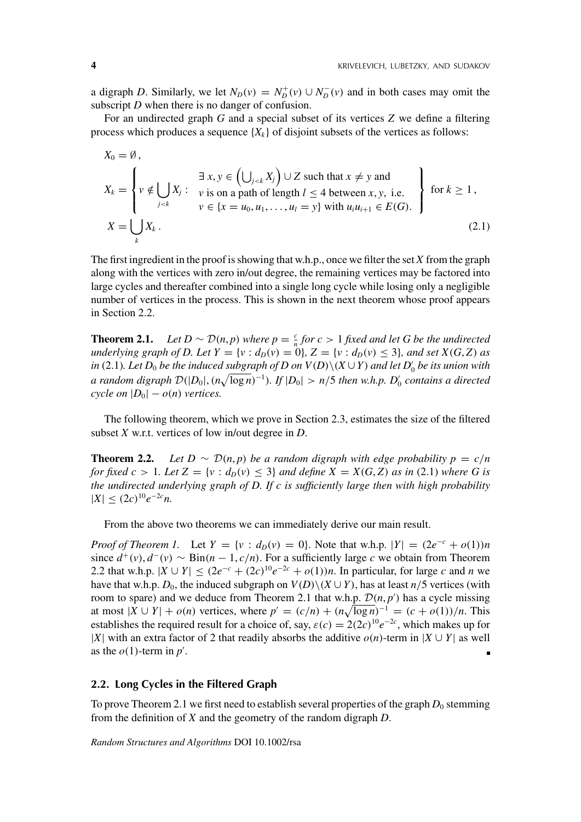a digraph *D*. Similarly, we let  $N_D(v) = N_D^+(v) \cup N_D^-(v)$  and in both cases may omit the subscript *D* when there is no danger of confusion.

For an undirected graph *G* and a special subset of its vertices *Z* we define a filtering process which produces a sequence  ${X_k}$  of disjoint subsets of the vertices as follows:

$$
X_0 = \emptyset,
$$
  
\n
$$
X_k = \begin{cases} v \notin \bigcup_{j < k} X_j : \forall i \text{ s on a path of length } l \le 4 \text{ between } x, y, \text{ i.e.} \\ v \in \{x = u_0, u_1, \dots, u_l = y\} \text{ with } u_i u_{i+1} \in E(G). \end{cases} \text{ for } k \ge 1,
$$
  
\n
$$
X = \bigcup_k X_k.
$$
\n(2.1)

The first ingredient in the proof is showing that w.h.p., once we filter the set *X* from the graph along with the vertices with zero in/out degree, the remaining vertices may be factored into large cycles and thereafter combined into a single long cycle while losing only a negligible number of vertices in the process. This is shown in the next theorem whose proof appears in Section 2.2.

**Theorem 2.1.** *Let*  $D \sim \mathcal{D}(n, p)$  *where*  $p = \frac{c}{n}$  *for*  $c > 1$  *fixed and let G be the undirected underlying graph of D. Let*  $Y = \{v : d_D(v) = 0\}$ ,  $Z = \{v : d_D(v) \le 3\}$ , and set  $X(G, Z)$  as *in* (2.1). Let  $D_0$  *be the induced subgraph of*  $D$  *on*  $V(D) \setminus (X \cup Y)$  *and let*  $D'_0$  *be its union with a* random digraph  $\mathcal{D}(|D_0|, (n\sqrt{\log n})^{-1})$ . If  $|D_0| > n/5$  then w.h.p.  $D'_0$  contains a directed *cycle on*  $|D_0| - o(n)$  *vertices.* 

The following theorem, which we prove in Section 2.3, estimates the size of the filtered subset *X* w.r.t. vertices of low in/out degree in *D*.

**Theorem 2.2.** *Let*  $D \sim \mathcal{D}(n, p)$  *be a random digraph with edge probability*  $p = c/n$ *for fixed c* > 1*. Let*  $Z = \{v : d_p(v) \leq 3\}$  *and define*  $X = X(G, Z)$  *as in* (2.1) *where G is the undirected underlying graph of D. If c is sufficiently large then with high probability*  $|X|$  ≤  $(2c)^{10}e^{-2c}n$ .

From the above two theorems we can immediately derive our main result.

*Proof of Theorem 1.* Let  $Y = \{v : d_D(v) = 0\}$ . Note that w.h.p.  $|Y| = (2e^{-c} + o(1))n$ since  $d^+(v)$ ,  $d^-(v) \sim \text{Bin}(n-1, c/n)$ . For a sufficiently large *c* we obtain from Theorem 2.2 that w.h.p.  $|X \cup Y|$  ≤  $(2e^{-c} + (2c)^{10}e^{-2c} + o(1))n$ . In particular, for large *c* and *n* we have that w.h.p.  $D_0$ , the induced subgraph on  $V(D) \setminus (X \cup Y)$ , has at least  $n/5$  vertices (with room to spare) and we deduce from Theorem 2.1 that w.h.p.  $\mathcal{D}(n, p')$  has a cycle missing at most  $|X \cup Y| + o(n)$  vertices, where  $p' = (c/n) + (n\sqrt{\log n})^{-1} = (c + o(1))/n$ . This establishes the required result for a choice of, say,  $\varepsilon(c) = 2(2c)^{10}e^{-2c}$ , which makes up for |*X*| with an extra factor of 2 that readily absorbs the additive  $o(n)$ -term in |*X* ∪ *Y*| as well as the  $o(1)$ -term in  $p'$ .  $\blacksquare$ 

#### **2.2. Long Cycles in the Filtered Graph**

To prove Theorem 2.1 we first need to establish several properties of the graph  $D_0$  stemming from the definition of *X* and the geometry of the random digraph *D*.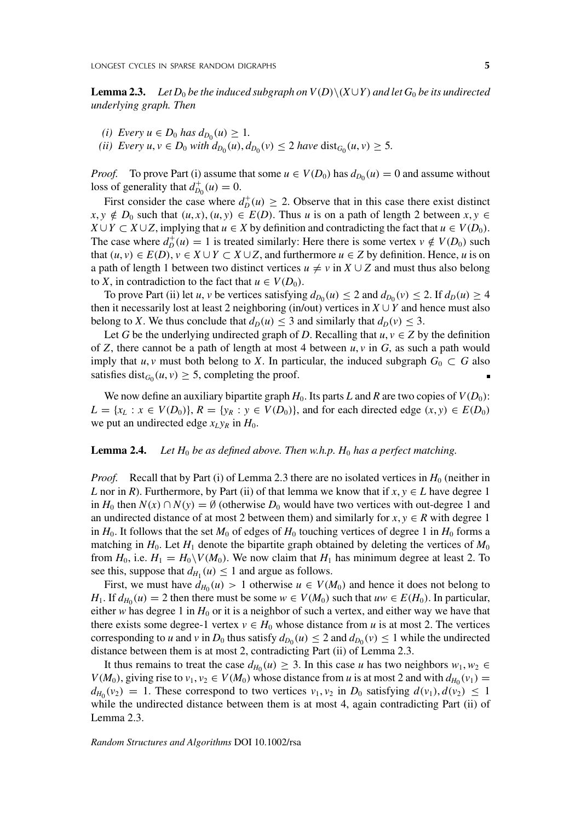**Lemma 2.3.** *Let*  $D_0$  *be the induced subgraph on*  $V(D)\setminus (X\cup Y)$  *and let*  $G_0$  *be its undirected underlying graph. Then*

- *(i) Every*  $u \in D_0$  *has*  $d_{D_0}(u) \geq 1$ *.*
- *(ii) Every*  $u, v \in D_0$  *<i>with*  $d_{D_0}(u), d_{D_0}(v) \leq 2$  *have*  $dist_{G_0}(u, v) \geq 5$ *.*

*Proof.* To prove Part (i) assume that some  $u \in V(D_0)$  has  $d_{D_0}(u) = 0$  and assume without loss of generality that  $d_{D_0}^+(u) = 0$ .

First consider the case where  $d_D^+(u) \geq 2$ . Observe that in this case there exist distinct  $x, y \notin D_0$  such that  $(u, x), (u, y) \in E(D)$ . Thus *u* is on a path of length 2 between  $x, y \in D_0$ *X* ∪ *Y* ⊂ *X* ∪ *Z*, implying that *u* ∈ *X* by definition and contradicting the fact that *u* ∈ *V(D*<sub>0</sub>). The case where  $d_D^+(u) = 1$  is treated similarly: Here there is some vertex  $v \notin V(D_0)$  such that  $(u, v) \in E(D)$ ,  $v \in X \cup Y \subset X \cup Z$ , and furthermore  $u \in Z$  by definition. Hence, *u* is on a path of length 1 between two distinct vertices  $u \neq v$  in  $X \cup Z$  and must thus also belong to *X*, in contradiction to the fact that  $u \in V(D_0)$ .

To prove Part (ii) let *u*, *v* be vertices satisfying  $d_{D_0}(u) \le 2$  and  $d_{D_0}(v) \le 2$ . If  $d_D(u) \ge 4$ then it necessarily lost at least 2 neighboring (in/out) vertices in  $X \cup Y$  and hence must also belong to *X*. We thus conclude that  $d_D(u) \leq 3$  and similarly that  $d_D(v) \leq 3$ .

Let *G* be the underlying undirected graph of *D*. Recalling that  $u, v \in Z$  by the definition of *Z*, there cannot be a path of length at most 4 between  $u, v$  in *G*, as such a path would imply that  $u, v$  must both belong to *X*. In particular, the induced subgraph  $G_0 \subset G$  also satisfies dist<sub> $G_0$ </sub> $(u, v) \ge 5$ , completing the proof.

We now define an auxiliary bipartite graph  $H_0$ . Its parts *L* and *R* are two copies of  $V(D_0)$ :  $L = \{x_L : x \in V(D_0)\}\$ ,  $R = \{y_R : y \in V(D_0)\}\$ , and for each directed edge  $(x, y) \in E(D_0)\$ we put an undirected edge  $x_L y_R$  in  $H_0$ .

#### **Lemma 2.4.** *Let*  $H_0$  *be as defined above. Then w.h.p.*  $H_0$  *has a perfect matching.*

*Proof.* Recall that by Part (i) of Lemma 2.3 there are no isolated vertices in  $H_0$  (neither in *L* nor in *R*). Furthermore, by Part (ii) of that lemma we know that if  $x, y \in L$  have degree 1 in  $H_0$  then  $N(x) \cap N(y) = \emptyset$  (otherwise  $D_0$  would have two vertices with out-degree 1 and an undirected distance of at most 2 between them) and similarly for  $x, y \in R$  with degree 1 in  $H_0$ . It follows that the set  $M_0$  of edges of  $H_0$  touching vertices of degree 1 in  $H_0$  forms a matching in  $H_0$ . Let  $H_1$  denote the bipartite graph obtained by deleting the vertices of  $M_0$ from  $H_0$ , i.e.  $H_1 = H_0 \setminus V(M_0)$ . We now claim that  $H_1$  has minimum degree at least 2. To see this, suppose that  $d_{H_1}(u) \leq 1$  and argue as follows.

First, we must have  $d_{H_0}(u) > 1$  otherwise  $u \in V(M_0)$  and hence it does not belong to *H*<sub>1</sub>. If  $d_{H_0}(u) = 2$  then there must be some  $w \in V(M_0)$  such that  $uw \in E(H_0)$ . In particular, either *w* has degree 1 in  $H_0$  or it is a neighbor of such a vertex, and either way we have that there exists some degree-1 vertex  $v \in H_0$  whose distance from *u* is at most 2. The vertices corresponding to *u* and *v* in  $D_0$  thus satisfy  $d_{D_0}(u) \leq 2$  and  $d_{D_0}(v) \leq 1$  while the undirected distance between them is at most 2, contradicting Part (ii) of Lemma 2.3.

It thus remains to treat the case  $d_{H_0}(u) \geq 3$ . In this case *u* has two neighbors  $w_1, w_2 \in$ *V*( $M_0$ ), giving rise to  $v_1, v_2 \in V(M_0)$  whose distance from *u* is at most 2 and with  $d_{H_0}(v_1) =$  $d_{H_0}(v_2) = 1$ . These correspond to two vertices  $v_1, v_2$  in  $D_0$  satisfying  $d(v_1), d(v_2) \leq 1$ while the undirected distance between them is at most 4, again contradicting Part (ii) of Lemma 2.3.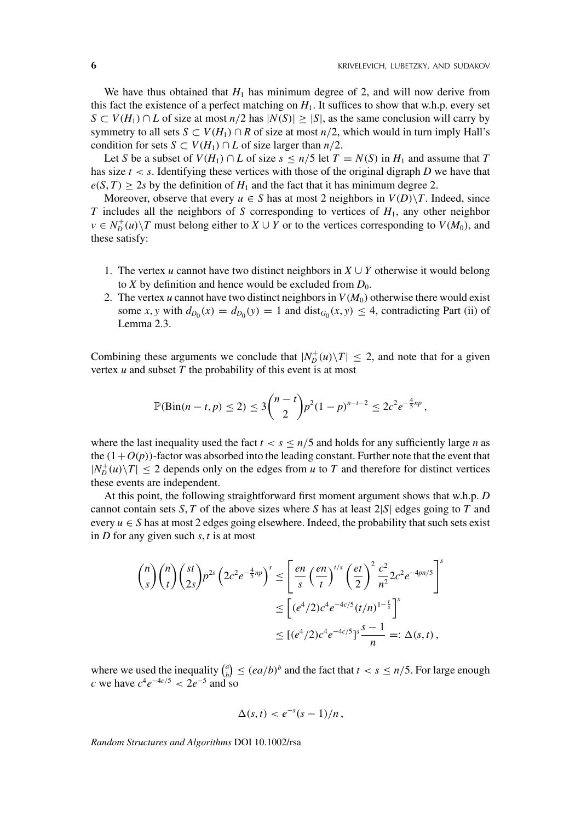We have thus obtained that  $H_1$  has minimum degree of 2, and will now derive from this fact the existence of a perfect matching on  $H_1$ . It suffices to show that w.h.p. every set *S* ⊂ *V*(*H*<sub>1</sub>) ∩ *L* of size at most *n*/2 has  $|N(S)| \ge |S|$ , as the same conclusion will carry by symmetry to all sets  $S \subset V(H_1) \cap R$  of size at most  $n/2$ , which would in turn imply Hall's condition for sets *S*  $\subset$  *V*( $H_1$ )  $\cap$  *L* of size larger than *n*/2.

Let *S* be a subset of  $V(H_1) \cap L$  of size  $s \leq n/5$  let  $T = N(S)$  in  $H_1$  and assume that  $T$ has size  $t < s$ . Identifying these vertices with those of the original digraph *D* we have that  $e(S, T)$  > 2*s* by the definition of  $H_1$  and the fact that it has minimum degree 2.

Moreover, observe that every  $u \in S$  has at most 2 neighbors in  $V(D) \setminus T$ . Indeed, since *T* includes all the neighbors of *S* corresponding to vertices of *H*1, any other neighbor  $v \in N_D^+(u) \setminus T$  must belong either to  $X \cup Y$  or to the vertices corresponding to  $V(M_0)$ , and these satisfy:

- 1. The vertex *u* cannot have two distinct neighbors in  $X \cup Y$  otherwise it would belong to *X* by definition and hence would be excluded from  $D_0$ .
- 2. The vertex *u* cannot have two distinct neighbors in  $V(M_0)$  otherwise there would exist some *x*, *y* with  $d_{D_0}(x) = d_{D_0}(y) = 1$  and dist $_{G_0}(x, y) \leq 4$ , contradicting Part (ii) of Lemma 2.3.

Combining these arguments we conclude that  $|N_D^+(u)\setminus T| \leq 2$ , and note that for a given vertex *u* and subset *T* the probability of this event is at most

$$
\mathbb{P}(\text{Bin}(n-t,p) \leq 2) \leq 3 {n-t \choose 2} p^2 (1-p)^{n-t-2} \leq 2c^2 e^{-\frac{4}{5}np},
$$

where the last inequality used the fact  $t < s \leq n/5$  and holds for any sufficiently large *n* as the  $(1+O(p))$ -factor was absorbed into the leading constant. Further note that the event that  $|N_D^+(u)\setminus T| \leq 2$  depends only on the edges from *u* to *T* and therefore for distinct vertices these events are independent.

At this point, the following straightforward first moment argument shows that w.h.p. *D* cannot contain sets *S*, *T* of the above sizes where *S* has at least 2|*S*| edges going to *T* and every  $u \in S$  has at most 2 edges going elsewhere. Indeed, the probability that such sets exist in *D* for any given such *s*, *t* is at most

$$
\binom{n}{s}\binom{n}{t}\binom{st}{2s}p^{2s}\left(2c^2e^{-\frac{4}{5}np}\right)^s \le \left[\frac{en}{s}\left(\frac{en}{t}\right)^{t/s}\left(\frac{et}{2}\right)^2\frac{c^2}{n^2}2c^2e^{-4pn/5}\right]^s
$$

$$
\le \left[(e^4/2)c^4e^{-4c/5}(t/n)^{1-\frac{t}{s}}\right]^s
$$

$$
\le \left[(e^4/2)c^4e^{-4c/5}\right]^s\frac{s-1}{n} =: \Delta(s,t),
$$

where we used the inequality  $\binom{a}{b} \leq (ea/b)^b$  and the fact that  $t < s \leq n/5$ . For large enough *c* we have  $c^4 e^{-4c/5} < 2e^{-5}$  and so

$$
\Delta(s,t) < e^{-s}(s-1)/n \,,
$$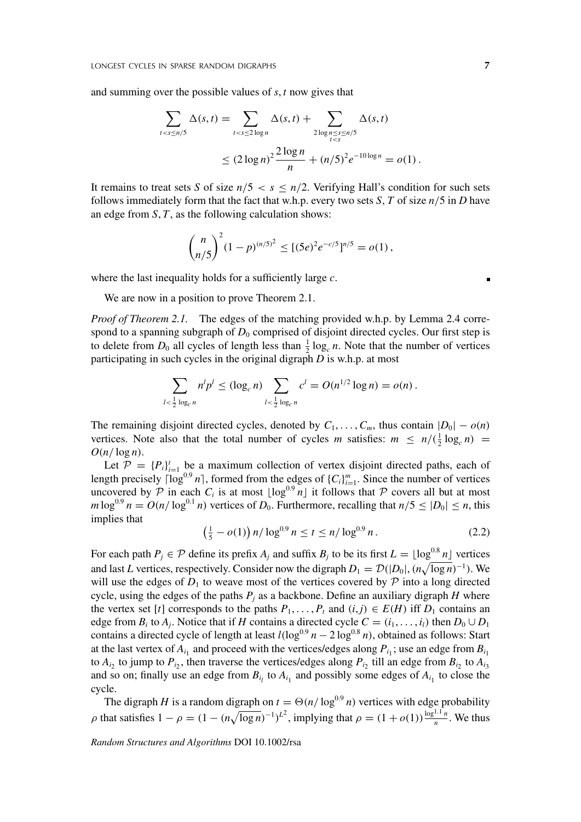and summing over the possible values of *s*, *t* now gives that

$$
\sum_{t  

$$
\le (2\log n)^2 \frac{2\log n}{n} + (n/5)^2 e^{-10\log n} = o(1).
$$
$$

It remains to treat sets *S* of size  $n/5 < s \leq n/2$ . Verifying Hall's condition for such sets follows immediately form that the fact that w.h.p. every two sets *S*, *T* of size  $n/5$  in *D* have an edge from *S*, *T*, as the following calculation shows:

$$
{\binom{n}{n/5}}^2 (1-p)^{(n/5)^2} \leq [(5e)^2 e^{-c/5}]^{n/5} = o(1),
$$

where the last inequality holds for a sufficiently large *c*.

We are now in a position to prove Theorem 2.1.

*Proof of Theorem 2.1.* The edges of the matching provided w.h.p. by Lemma 2.4 correspond to a spanning subgraph of  $D_0$  comprised of disjoint directed cycles. Our first step is to delete from  $D_0$  all cycles of length less than  $\frac{1}{2} \log_c n$ . Note that the number of vertices participating in such cycles in the original digraph *D* is w.h.p. at most

$$
\sum_{l < \frac{1}{2} \log_c n} n^l p^l \leq (\log_c n) \sum_{l < \frac{1}{2} \log_c n} c^l = O(n^{1/2} \log n) = o(n) \, .
$$

The remaining disjoint directed cycles, denoted by  $C_1, \ldots, C_m$ , thus contain  $|D_0| - o(n)$ vertices. Note also that the total number of cycles *m* satisfies:  $m \le n/(\frac{1}{2} \log_c n)$  =  $O(n/\log n)$ .

Let  $\mathcal{P} = \{P_i\}_{i=1}^t$  be a maximum collection of vertex disjoint directed paths, each of length precisely  $\lceil \log^{0.9} n \rceil$ , formed from the edges of  $\{C_i\}_{i=1}^m$ . Since the number of vertices uncovered by  $P$  in each  $C_i$  is at most  $\lfloor \log^{0.9} n \rfloor$  it follows that  $P$  covers all but at most  $m \log^{0.9} n = O(n/\log^{0.1} n)$  vertices of  $D_0$ . Furthermore, recalling that  $n/5 \leq |D_0| \leq n$ , this implies that

$$
\left(\frac{1}{5} - o(1)\right) n / \log^{0.9} n \le t \le n / \log^{0.9} n. \tag{2.2}
$$

For each path  $P_j \in \mathcal{P}$  define its prefix  $A_j$  and suffix  $B_j$  to be its first  $L = \lfloor \log^{0.8} n \rfloor$  vertices and last *L* vertices, respectively. Consider now the digraph  $D_1 = \mathcal{D}(|D_0|, (n\sqrt{\log n})^{-1})$ . We will use the edges of  $D_1$  to weave most of the vertices covered by  $P$  into a long directed cycle, using the edges of the paths  $P_i$  as a backbone. Define an auxiliary digraph *H* where the vertex set [*t*] corresponds to the paths  $P_1, \ldots, P_t$  and  $(i, j) \in E(H)$  iff  $D_1$  contains an edge from  $B_i$  to  $A_j$ . Notice that if *H* contains a directed cycle  $C = (i_1, \ldots, i_l)$  then  $D_0 \cup D_1$ contains a directed cycle of length at least  $l(\log^{0.9} n - 2 \log^{0.8} n)$ , obtained as follows: Start at the last vertex of  $A_{i_1}$  and proceed with the vertices/edges along  $P_{i_1}$ ; use an edge from  $B_{i_1}$ to  $A_{i_2}$  to jump to  $P_{i_2}$ , then traverse the vertices/edges along  $P_{i_2}$  till an edge from  $B_{i_2}$  to  $A_{i_3}$ and so on; finally use an edge from  $B_{i_l}$  to  $A_{i_l}$  and possibly some edges of  $A_{i_l}$  to close the cycle.

The digraph *H* is a random digraph on  $t = \Theta(n/\log^{0.9} n)$  vertices with edge probability  $\rho$  that satisfies  $1 - \rho = (1 - (n\sqrt{\log n})^{-1})^{L^2}$ , implying that  $\rho = (1 + o(1)) \frac{\log^{1.1} n}{n}$ . We thus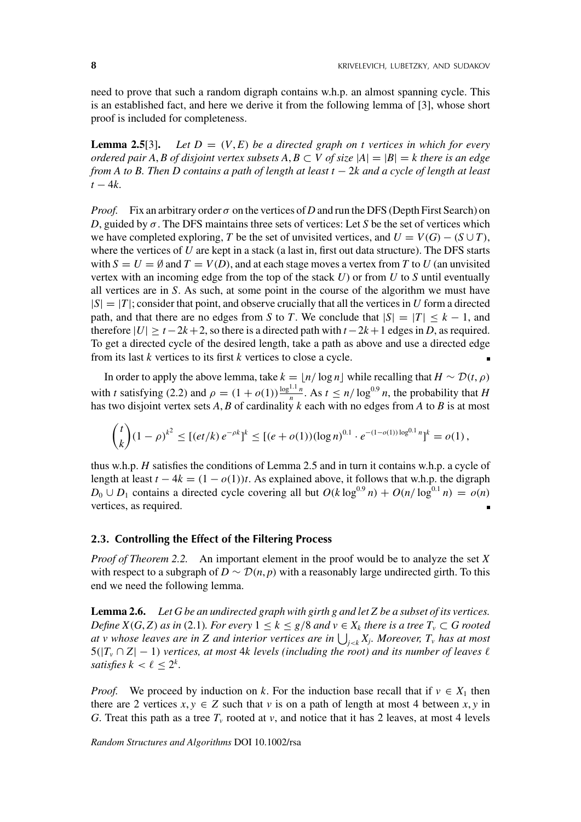need to prove that such a random digraph contains w.h.p. an almost spanning cycle. This is an established fact, and here we derive it from the following lemma of [3], whose short proof is included for completeness.

**Lemma 2.5**[3]. Let  $D = (V, E)$  be a directed graph on t vertices in which for every *ordered pair A, B of disjoint vertex subsets*  $A, B \subset V$  *of size*  $|A| = |B| = k$  there is an edge *from A to B. Then D contains a path of length at least t* − 2*k and a cycle of length at least*  $t - 4k$ .

*Proof.* Fix an arbitrary order  $\sigma$  on the vertices of *D* and run the DFS (Depth First Search) on *D*, guided by  $\sigma$ . The DFS maintains three sets of vertices: Let *S* be the set of vertices which we have completed exploring, *T* be the set of unvisited vertices, and  $U = V(G) - (S \cup T)$ , where the vertices of *U* are kept in a stack (a last in, first out data structure). The DFS starts with  $S = U = \emptyset$  and  $T = V(D)$ , and at each stage moves a vertex from T to U (an unvisited vertex with an incoming edge from the top of the stack *U*) or from *U* to *S* until eventually all vertices are in *S*. As such, at some point in the course of the algorithm we must have  $|S|=|T|$ ; consider that point, and observe crucially that all the vertices in *U* form a directed path, and that there are no edges from *S* to *T*. We conclude that  $|S|=|T| \leq k-1$ , and therefore  $|U| > t - 2k + 2$ , so there is a directed path with  $t - 2k + 1$  edges in *D*, as required. To get a directed cycle of the desired length, take a path as above and use a directed edge from its last *k* vertices to its first *k* vertices to close a cycle.

In order to apply the above lemma, take  $k = \lfloor n/\log n \rfloor$  while recalling that  $H \sim \mathcal{D}(t, \rho)$ with *t* satisfying (2.2) and  $\rho = (1 + o(1)) \frac{\log^{1.1} n}{n}$ . As  $t \le n / \log^{0.9} n$ , the probability that *H* has two disjoint vertex sets *A*, *B* of cardinality *k* each with no edges from *A* to *B* is at most

$$
{t \choose k} (1 - \rho)^{k^2} \le [(et/k) e^{-\rho k}]^k \le [(e + o(1)) (\log n)^{0.1} \cdot e^{-(1 - o(1)) \log^{0.1} n}]^k = o(1),
$$

thus w.h.p. *H* satisfies the conditions of Lemma 2.5 and in turn it contains w.h.p. a cycle of length at least  $t - 4k = (1 - o(1))t$ . As explained above, it follows that w.h.p. the digraph *D*<sub>0</sub> ∪ *D*<sub>1</sub> contains a directed cycle covering all but  $O(k \log^{0.9} n) + O(n/\log^{0.1} n) = o(n)$ vertices, as required.

#### **2.3. Controlling the Effect of the Filtering Process**

*Proof of Theorem 2.2.* An important element in the proof would be to analyze the set *X* with respect to a subgraph of  $D \sim \mathcal{D}(n, p)$  with a reasonably large undirected girth. To this end we need the following lemma.

**Lemma 2.6.** *Let G be an undirected graph with girth g and let Z be a subset of its vertices. Define*  $X(G, Z)$  *as in* (2.1)*. For every*  $1 \leq k \leq g/8$  *and*  $v \in X_k$  *there is a tree*  $T_v \subset G$  *rooted at v whose leaves are in* Z and interior vertices are in  $\bigcup_{j < k} X_j$ . Moreover,  $T_v$  has at most  $5(|T_v \cap Z| - 1)$  *vertices, at most 4k levels (including the root) and its number of leaves*  $\ell$ *satisfies*  $k < \ell < 2^k$ .

*Proof.* We proceed by induction on *k*. For the induction base recall that if  $v \in X_1$  then there are 2 vertices  $x, y \in Z$  such that  $v$  is on a path of length at most 4 between  $x, y$  in *G*. Treat this path as a tree  $T_v$  rooted at *v*, and notice that it has 2 leaves, at most 4 levels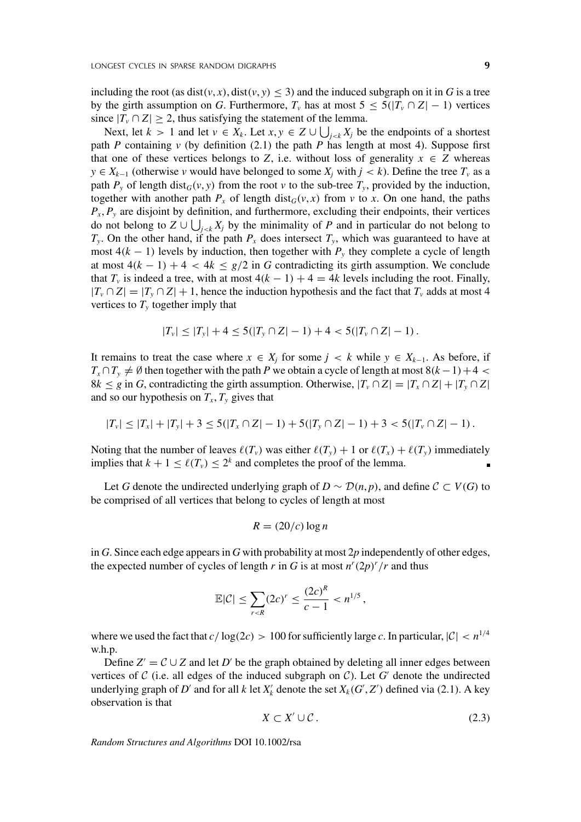including the root (as dist(*v*, *x*), dist(*v*, *y*)  $\leq$  3) and the induced subgraph on it in *G* is a tree by the girth assumption on *G*. Furthermore,  $T_v$  has at most  $5 \leq 5(|T_v \cap Z| - 1)$  vertices since  $|T_v \cap Z| \geq 2$ , thus satisfying the statement of the lemma.

Next, let  $k > 1$  and let  $v \in X_k$ . Let  $x, y \in Z \cup \bigcup_{j < k} X_j$  be the endpoints of a shortest path *P* containing *v* (by definition  $(2.1)$  the path *P* has length at most 4). Suppose first that one of these vertices belongs to *Z*, i.e. without loss of generality  $x \in Z$  whereas *y* ∈ *X<sub>k−1</sub>* (otherwise *v* would have belonged to some *X<sub>i</sub>* with *j* < *k*). Define the tree *T<sub>v</sub>* as a path  $P_y$  of length dist<sub>*G*</sub>(*v*, *y*) from the root *v* to the sub-tree  $T_y$ , provided by the induction, together with another path  $P_x$  of length dist<sub>*G*</sub>(*v*, *x*) from *v* to *x*. On one hand, the paths  $P_x$ ,  $P_y$  are disjoint by definition, and furthermore, excluding their endpoints, their vertices do not belong to  $Z \cup \bigcup_{j < k} X_j$  by the minimality of *P* and in particular do not belong to  $T_y$ . On the other hand, if the path  $P_x$  does intersect  $T_y$ , which was guaranteed to have at most  $4(k - 1)$  levels by induction, then together with  $P_y$  they complete a cycle of length at most  $4(k - 1) + 4 < 4k \le g/2$  in G contradicting its girth assumption. We conclude that  $T_v$  is indeed a tree, with at most  $4(k - 1) + 4 = 4k$  levels including the root. Finally,  $|T_v \cap Z| = |T_v \cap Z| + 1$ , hence the induction hypothesis and the fact that  $T_v$  adds at most 4 vertices to  $T<sub>y</sub>$  together imply that

$$
|T_{\nu}| \leq |T_{\nu}| + 4 \leq 5(|T_{\nu} \cap Z| - 1) + 4 < 5(|T_{\nu} \cap Z| - 1) \, .
$$

It remains to treat the case where  $x \in X_i$  for some  $j \lt k$  while  $y \in X_{k-1}$ . As before, if  $T_x \cap T_y \neq \emptyset$  then together with the path *P* we obtain a cycle of length at most 8*(k-1)*+4 < 8*k* ≤ *g* in *G*, contradicting the girth assumption. Otherwise,  $|T_v \cap Z| = |T_x \cap Z| + |T_v \cap Z|$ and so our hypothesis on  $T_x$ ,  $T_y$  gives that

$$
|T_{\nu}| \leq |T_{x}| + |T_{y}| + 3 \leq 5(|T_{x} \cap Z| - 1) + 5(|T_{y} \cap Z| - 1) + 3 < 5(|T_{\nu} \cap Z| - 1).
$$

Noting that the number of leaves  $\ell(T_\nu)$  was either  $\ell(T_\nu) + 1$  or  $\ell(T_\nu) + \ell(T_\nu)$  immediately implies that  $k + 1 \leq \ell(T_v) \leq 2^k$  and completes the proof of the lemma.

Let *G* denote the undirected underlying graph of  $D ∼ \mathcal{D}(n, p)$ , and define  $C ⊂ V(G)$  to be comprised of all vertices that belong to cycles of length at most

$$
R = (20/c) \log n
$$

in *G*. Since each edge appears in *G* with probability at most 2*p* independently of other edges, the expected number of cycles of length *r* in *G* is at most  $n^r(2p)^r/r$  and thus

$$
\mathbb{E}|\mathcal{C}| \leq \sum_{r < R} (2c)^r \leq \frac{(2c)^R}{c-1} < n^{1/5},
$$

where we used the fact that  $c/\log(2c) > 100$  for sufficiently large *c*. In particular,  $|\mathcal{C}| < n^{1/4}$ w.h.p.

Define  $Z' = C \cup Z$  and let *D'* be the graph obtained by deleting all inner edges between vertices of  $\mathcal C$  (i.e. all edges of the induced subgraph on  $\mathcal C$ ). Let  $G'$  denote the undirected underlying graph of D' and for all k let  $X'_k$  denote the set  $X_k(G', Z')$  defined via (2.1). A key observation is that

$$
X \subset X' \cup \mathcal{C} \,.
$$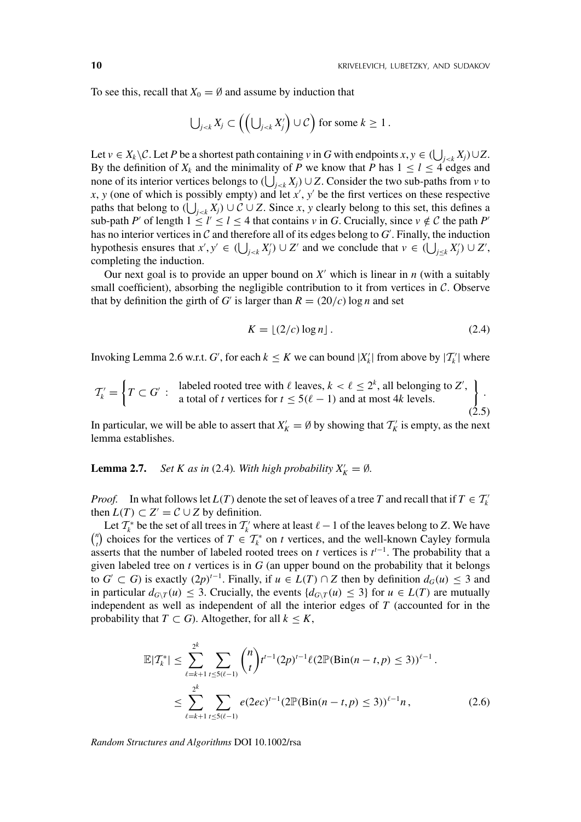To see this, recall that  $X_0 = \emptyset$  and assume by induction that

$$
\bigcup_{j < k} X_j \subset \left( \left( \bigcup_{j < k} X'_j \right) \cup \mathcal{C} \right) \text{ for some } k \geq 1.
$$

Let  $v \in X_k \setminus C$ . Let *P* be a shortest path containing  $v$  in *G* with endpoints  $x, y \in (\bigcup_{j < k} X_j) \cup Z$ . By the definition of  $X_k$  and the minimality of *P* we know that *P* has  $1 \leq l \leq 4$  edges and none of its interior vertices belongs to  $(\bigcup_{j \leq k} X_j) \cup Z$ . Consider the two sub-paths from *v* to  $x, y$  (one of which is possibly empty) and let  $x'$ ,  $y'$  be the first vertices on these respective paths that belong to  $(\bigcup_{j \leq k} X_j) \cup C \cup Z$ . Since *x*, *y* clearly belong to this set, this defines a sub-path *P'* of length  $1 \le l' \le l \le 4$  that contains *v* in *G*. Crucially, since  $v \notin C$  the path *P'* has no interior vertices in  $C$  and therefore all of its edges belong to  $G'$ . Finally, the induction hypothesis ensures that  $x', y' \in (\bigcup_{j < k} X'_j) \cup Z'$  and we conclude that  $v \in (\bigcup_{j \leq k} X'_j) \cup Z'$ , completing the induction.

Our next goal is to provide an upper bound on  $X'$  which is linear in  $n$  (with a suitably small coefficient), absorbing the negligible contribution to it from vertices in  $\mathcal{C}$ . Observe that by definition the girth of *G'* is larger than  $R = (20/c) \log n$  and set

$$
K = \lfloor (2/c) \log n \rfloor. \tag{2.4}
$$

Invoking Lemma 2.6 w.r.t. *G'*, for each  $k \leq K$  we can bound  $|X'_k|$  from above by  $|T'_k|$  where

$$
\mathcal{T}'_k = \left\{ T \subset G' : \begin{array}{l} \text{labeled rooted tree with } \ell \text{ leaves, } k < \ell \leq 2^k \text{, all belonging to } Z', \\ \text{a total of } t \text{ vertices for } t \leq 5(\ell-1) \text{ and at most } 4k \text{ levels.} \end{array} \right\}.
$$
\n
$$
(2.5)
$$

In particular, we will be able to assert that  $X'_K = \emptyset$  by showing that  $T'_K$  is empty, as the next lemma establishes.

**Lemma 2.7.** *Set K as in* (2.4)*. With high probability*  $X'_K = \emptyset$ *.* 

*Proof.* In what follows let  $L(T)$  denote the set of leaves of a tree *T* and recall that if  $T \in T_k$ then  $L(T) \subset Z' = C \cup Z$  by definition.

Let  $T_k^*$  be the set of all trees in  $T_k'$  where at least  $\ell - 1$  of the leaves belong to *Z*. We have  ${n \choose t}$  choices for the vertices of  $T \in T_k^*$  on *t* vertices, and the well-known Cayley formula asserts that the number of labeled rooted trees on  $t$  vertices is  $t^{t-1}$ . The probability that a given labeled tree on  $t$  vertices is in  $G$  (an upper bound on the probability that it belongs to *G* ⊂ *G*) is exactly  $(2p)^{t-1}$ . Finally, if  $u \in L(T) \cap Z$  then by definition  $d_G(u) \leq 3$  and in particular  $d_{G\setminus T}(u) \leq 3$ . Crucially, the events  $\{d_{G\setminus T}(u) \leq 3\}$  for  $u \in L(T)$  are mutually independent as well as independent of all the interior edges of *T* (accounted for in the probability that *T*  $\subset$  *G*). Altogether, for all  $k \leq K$ ,

$$
\mathbb{E}|T_k^*| \leq \sum_{\ell=k+1}^{2^k} \sum_{t \leq 5(\ell-1)} {n \choose t} t^{t-1} (2p)^{t-1} \ell (2\mathbb{P}(\text{Bin}(n-t, p) \leq 3))^{\ell-1}.
$$
  

$$
\leq \sum_{\ell=k+1}^{2^k} \sum_{t \leq 5(\ell-1)} e(2ec)^{t-1} (2\mathbb{P}(\text{Bin}(n-t, p) \leq 3))^{\ell-1} n,
$$
 (2.6)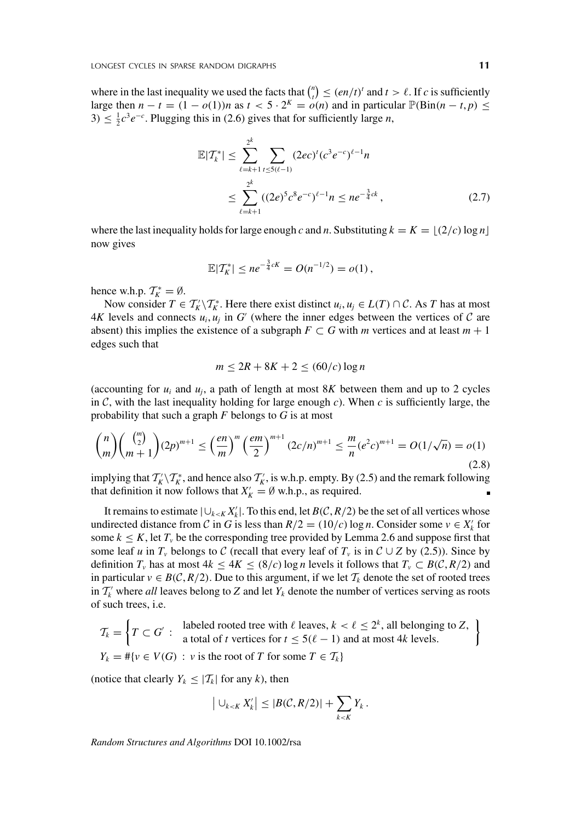where in the last inequality we used the facts that  $\binom{n}{t} \leq (en/t)^t$  and  $t > \ell$ . If *c* is sufficiently large then  $n - t = (1 - o(1))n$  as  $t < 5 \cdot 2^{K} = o(n)$  and in particular  $\mathbb{P}(\text{Bin}(n - t, p) \leq$  $3) \leq \frac{1}{2}c^3e^{-c}$ . Plugging this in (2.6) gives that for sufficiently large *n*,

$$
\mathbb{E}|T_k^*| \leq \sum_{\ell=k+1}^{2^k} \sum_{\ell \leq 5(\ell-1)} (2ec)^{\ell} (c^3 e^{-c})^{\ell-1} n
$$
  

$$
\leq \sum_{\ell=k+1}^{2^k} ((2e)^5 c^8 e^{-c})^{\ell-1} n \leq n e^{-\frac{3}{4}ck}, \qquad (2.7)
$$

where the last inequality holds for large enough *c* and *n*. Substituting  $k = K = \lfloor (2/c) \log n \rfloor$ now gives

$$
\mathbb{E}|\mathcal{T}_{K}^{*}| \leq n e^{-\frac{3}{4}cK} = O(n^{-1/2}) = o(1),
$$

hence w.h.p.  $T_K^* = \emptyset$ .

Now consider  $T \in T_K^{\prime} \backslash T_K^*$ . Here there exist distinct  $u_i, u_j \in L(T) \cap C$ . As *T* has at most  $4K$  levels and connects  $u_i, u_j$  in G' (where the inner edges between the vertices of C are absent) this implies the existence of a subgraph  $F \subset G$  with *m* vertices and at least  $m + 1$ edges such that

$$
m \le 2R + 8K + 2 \le (60/c) \log n
$$

(accounting for  $u_i$  and  $u_j$ , a path of length at most 8K between them and up to 2 cycles in  $C$ , with the last inequality holding for large enough  $c$ ). When  $c$  is sufficiently large, the probability that such a graph *F* belongs to *G* is at most

$$
\binom{n}{m}\binom{\binom{m}{2}}{m+1}(2p)^{m+1} \le \left(\frac{en}{m}\right)^m \left(\frac{em}{2}\right)^{m+1}(2c/n)^{m+1} \le \frac{m}{n}(e^2c)^{m+1} = O(1/\sqrt{n}) = o(1)
$$
\n(2.8)

implying that  $T_K' \setminus T_K^*$ , and hence also  $T_K'$ , is w.h.p. empty. By (2.5) and the remark following that definition it now follows that  $X'_K = \emptyset$  w.h.p., as required.

It remains to estimate  $|\bigcup_{k \le K} X'_k|$ . To this end, let *B*(*C*, *R*/2) be the set of all vertices whose undirected distance from *C* in *G* is less than  $R/2 = (10/c) \log n$ . Consider some  $v \in X'_k$  for some  $k \leq K$ , let  $T_v$  be the corresponding tree provided by Lemma 2.6 and suppose first that some leaf *u* in  $T_v$  belongs to C (recall that every leaf of  $T_v$  is in C ∪ *Z* by (2.5)). Since by definition  $T_v$  has at most  $4k \leq 4K \leq (8/c) \log n$  levels it follows that  $T_v \subset B(C, R/2)$  and in particular  $v \in B(C, R/2)$ . Due to this argument, if we let  $\mathcal{T}_k$  denote the set of rooted trees in  $T_k'$  where *all* leaves belong to *Z* and let  $Y_k$  denote the number of vertices serving as roots of such trees, i.e.

$$
\mathcal{T}_k = \left\{ T \subset G' : \begin{array}{l} \text{labeled rooted tree with } \ell \text{ leaves, } k < \ell \le 2^k \text{, all belonging to } Z, \\ \text{a total of } t \text{ vertices for } t \le 5(\ell - 1) \text{ and at most } 4k \text{ levels.} \end{array} \right\}
$$
\n
$$
Y_k = #\{ v \in V(G) : v \text{ is the root of } T \text{ for some } T \in \mathcal{T}_k \}
$$

(notice that clearly  $Y_k \leq |T_k|$  for any *k*), then

$$
\left|\bigcup_{k < K} X_k'\right| \leq \left|B(C, R/2)\right| + \sum_{k < K} Y_k \, .
$$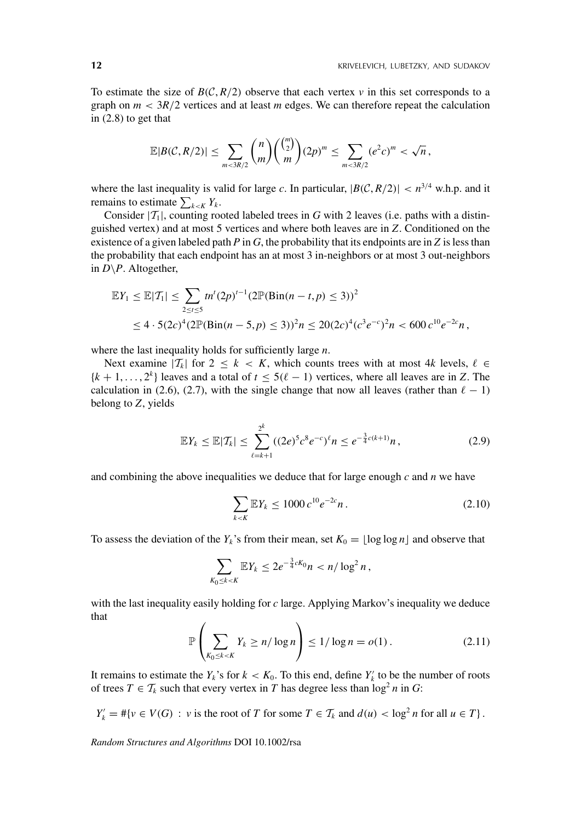To estimate the size of  $B(C, R/2)$  observe that each vertex *v* in this set corresponds to a graph on  $m < 3R/2$  vertices and at least  $m$  edges. We can therefore repeat the calculation in (2.8) to get that

$$
\mathbb{E}|B(C,R/2)| \leq \sum_{m < 3R/2} {n \choose m} {m \choose 2} (2p)^m \leq \sum_{m < 3R/2} (e^2 c)^m < \sqrt{n},
$$

where the last inequality is valid for large *c*. In particular,  $|B(C, R/2)| < n^{3/4}$  w.h.p. and it remains to estimate  $\sum_{k \le K} Y_k$ .

Consider  $|T_1|$ , counting rooted labeled trees in *G* with 2 leaves (i.e. paths with a distinguished vertex) and at most 5 vertices and where both leaves are in *Z*. Conditioned on the existence of a given labeled path *P* in *G*, the probability that its endpoints are in *Z* is less than the probability that each endpoint has an at most 3 in-neighbors or at most 3 out-neighbors in  $D \backslash P$ . Altogether,

$$
\mathbb{E}Y_1 \le \mathbb{E}|\mathcal{T}_1| \le \sum_{2 \le t \le 5} t n^t (2p)^{t-1} (2\mathbb{P}(\text{Bin}(n-t, p) \le 3))^2
$$
  
 
$$
\le 4 \cdot 5(2c)^4 (2\mathbb{P}(\text{Bin}(n-5, p) \le 3))^2 n \le 20(2c)^4 (c^3 e^{-c})^2 n < 600 c^{10} e^{-2c} n,
$$

where the last inequality holds for sufficiently large *n*.

Next examine  $|T_k|$  for  $2 \leq k \leq K$ , which counts trees with at most 4k levels,  $\ell \in$  ${k + 1, \ldots, 2^k}$  leaves and a total of  $t \le 5(\ell - 1)$  vertices, where all leaves are in *Z*. The calculation in (2.6), (2.7), with the single change that now all leaves (rather than  $\ell - 1$ ) belong to *Z*, yields

$$
\mathbb{E}Y_k \leq \mathbb{E}|\mathcal{T}_k| \leq \sum_{\ell=k+1}^{2^k} ((2e)^5 c^8 e^{-c})^{\ell} n \leq e^{-\frac{3}{4}c(k+1)} n, \qquad (2.9)
$$

and combining the above inequalities we deduce that for large enough *c* and *n* we have

$$
\sum_{k < K} \mathbb{E} Y_k \le 1000 \, c^{10} e^{-2c} n \,. \tag{2.10}
$$

To assess the deviation of the  $Y_k$ 's from their mean, set  $K_0 = |\log \log n|$  and observe that

$$
\sum_{K_0\leq k < K} \mathbb{E} Y_k \leq 2e^{-\frac{3}{4}cK_0}n < n/\log^2 n\,,
$$

with the last inequality easily holding for *c* large. Applying Markov's inequality we deduce that

$$
\mathbb{P}\left(\sum_{K_0\leq k < K} Y_k \geq n/\log n\right) \leq 1/\log n = o(1). \tag{2.11}
$$

It remains to estimate the  $Y_k$ 's for  $k < K_0$ . To this end, define  $Y'_k$  to be the number of roots of trees  $T \in \mathcal{T}_k$  such that every vertex in *T* has degree less than  $\log^2 n$  in *G*:

 $Y'_k = #\{v \in V(G) : v \text{ is the root of } T \text{ for some } T \in T_k \text{ and } d(u) < \log^2 n \text{ for all } u \in T\}.$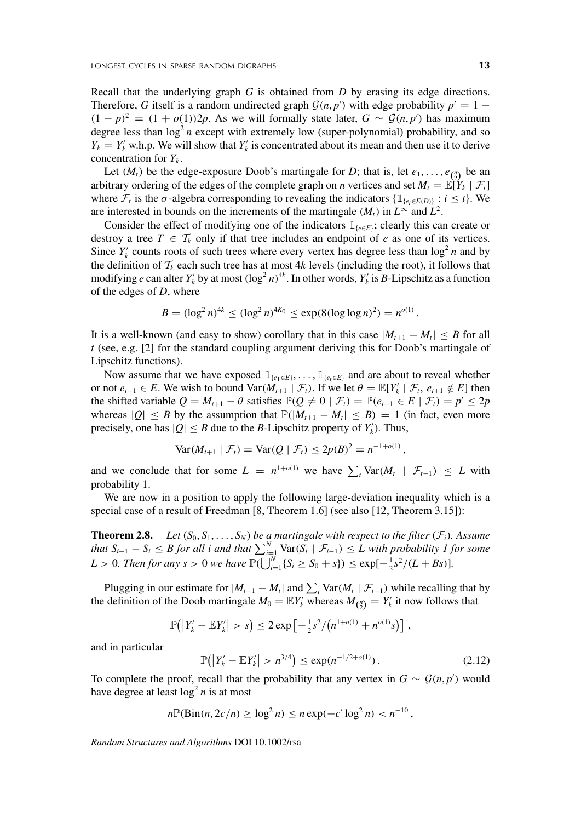Recall that the underlying graph *G* is obtained from *D* by erasing its edge directions. Therefore, *G* itself is a random undirected graph  $\mathcal{G}(n, p')$  with edge probability  $p' = 1 -$ *(*1 − *p*)<sup>2</sup> =  $(1 + o(1))$ 2*p*. As we will formally state later,  $G \sim \mathcal{G}(n, p')$  has maximum degree less than  $\log^2 n$  except with extremely low (super-polynomial) probability, and so  $Y_k = Y_k'$  w.h.p. We will show that  $Y_k'$  is concentrated about its mean and then use it to derive concentration for  $Y_k$ .

Let  $(M_t)$  be the edge-exposure Doob's martingale for *D*; that is, let  $e_1, \ldots, e_{\binom{n}{2}}$  be an arbitrary ordering of the edges of the complete graph on *n* vertices and set  $M_t = \mathbb{E}[Y_k | \mathcal{F}_t]$ where  $\mathcal{F}_t$  is the  $\sigma$ -algebra corresponding to revealing the indicators  $\{\mathbb{1}_{\{\varepsilon_i \in E(D)\}} : i \leq t\}$ . We are interested in bounds on the increments of the martingale  $(M_t)$  in  $L^{\infty}$  and  $L^2$ .

Consider the effect of modifying one of the indicators  $\mathbb{1}_{\{e \in E\}}$ ; clearly this can create or destroy a tree  $T \in \mathcal{T}_k$  only if that tree includes an endpoint of *e* as one of its vertices. Since  $Y_k'$  counts roots of such trees where every vertex has degree less than  $\log^2 n$  and by the definition of  $T_k$  each such tree has at most  $4k$  levels (including the root), it follows that modifying *e* can alter  $Y_k$  by at most  $(\log^2 n)^{4k}$ . In other words,  $Y_k$  is *B*-Lipschitz as a function of the edges of *D*, where

$$
B = (\log^2 n)^{4k} \leq (\log^2 n)^{4K_0} \leq \exp(8(\log \log n)^2) = n^{o(1)}.
$$

It is a well-known (and easy to show) corollary that in this case  $|M_{t+1} - M_t| \leq B$  for all *t* (see, e.g. [2] for the standard coupling argument deriving this for Doob's martingale of Lipschitz functions).

Now assume that we have exposed  $\mathbb{1}_{\{e_1 \in E\}}, \ldots, \mathbb{1}_{\{e_t \in E\}}$  and are about to reveal whether or not  $e_{t+1} \in E$ . We wish to bound  $\text{Var}(M_{t+1} | \mathcal{F}_t)$ . If we let  $\theta = \mathbb{E}[Y_k | \mathcal{F}_t, e_{t+1} \notin E]$  then the shifted variable  $Q = M_{t+1} - \theta$  satisfies  $\mathbb{P}(Q \neq 0 \mid \mathcal{F}_t) = \mathbb{P}(e_{t+1} \in E \mid \mathcal{F}_t) = p' \leq 2p$ whereas  $|Q| \leq B$  by the assumption that  $\mathbb{P}(|M_{t+1} - M_t| \leq B) = 1$  (in fact, even more precisely, one has  $|Q| \leq B$  due to the *B*-Lipschitz property of  $Y_k'$ ). Thus,

$$
\text{Var}(M_{t+1} | \mathcal{F}_t) = \text{Var}(Q | \mathcal{F}_t) \leq 2p(B)^2 = n^{-1+o(1)},
$$

and we conclude that for some  $L = n^{1+o(1)}$  we have  $\sum_{t} \text{Var}(M_t | \mathcal{F}_{t-1}) \leq L$  with probability 1.

We are now in a position to apply the following large-deviation inequality which is a special case of a result of Freedman [8, Theorem 1.6] (see also [12, Theorem 3.15]):

**Theorem 2.8.** *Let*  $(S_0, S_1, \ldots, S_N)$  *be a martingale with respect to the filter*  $(F_i)$ *. Assume that*  $S_{i+1} - S_i \leq B$  for all i and that  $\sum_{i=1}^{N} \text{Var}(S_i \mid \mathcal{F}_{i-1}) \leq L$  with probability 1 for some *L* > 0*. Then for any s* > 0 *we have*  $\mathbb{P}(\bigcup_{i=1}^{N} \{S_i \ge S_0 + s\}) \le \exp[-\frac{1}{2}s^2/(L + Bs)].$ 

Plugging in our estimate for  $|M_{t+1} - M_t|$  and  $\sum_t \text{Var}(M_t | \mathcal{F}_{t-1})$  while recalling that by the definition of the Doob martingale  $M_0 = \mathbb{E}Y_k'$  whereas  $M_{\binom{n}{2}} = Y_k'$  it now follows that

$$
\mathbb{P}(|Y'_{k} - \mathbb{E}Y'_{k}| > s) \leq 2 \exp \left[-\frac{1}{2}s^{2}/(n^{1+o(1)} + n^{o(1)}s)\right],
$$

and in particular

$$
\mathbb{P}\big(\big|Y_k'-\mathbb{E}Y_k'\big|>n^{3/4}\big)\leq \exp(n^{-1/2+o(1)})\,.
$$
 (2.12)

To complete the proof, recall that the probability that any vertex in  $G \sim \mathcal{G}(n, p')$  would have degree at least  $\log^2 n$  is at most

$$
n \mathbb{P}(\text{Bin}(n, 2c/n) \ge \log^2 n) \le n \exp(-c' \log^2 n) < n^{-10},
$$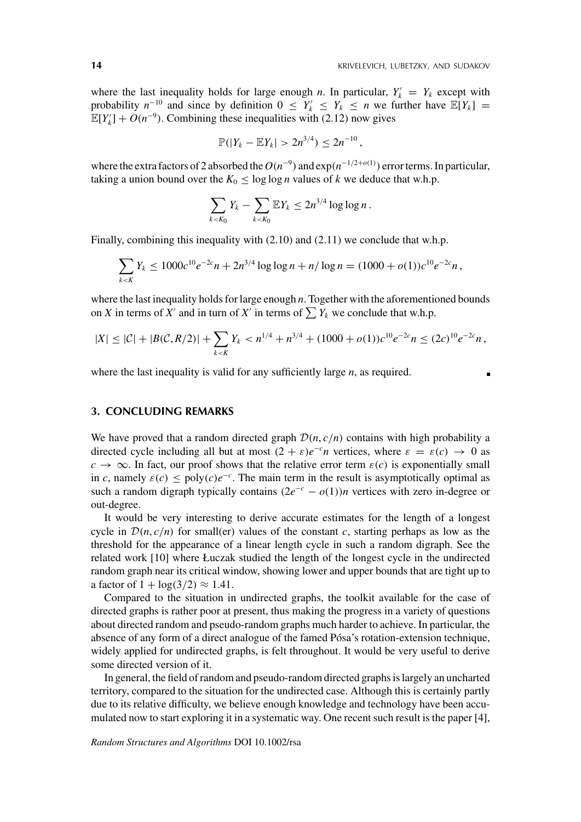where the last inequality holds for large enough *n*. In particular,  $Y_k' = Y_k$  except with probability  $n^{-10}$  and since by definition  $0 \le Y_k \le Y_k \le n$  we further have  $\mathbb{E}[Y_k] =$  $\mathbb{E}[Y_k^{\prime}] + O(n^{-9})$ . Combining these inequalities with (2.12) now gives

$$
\mathbb{P}(|Y_k - \mathbb{E}Y_k| > 2n^{3/4}) \leq 2n^{-10},
$$

where the extra factors of 2 absorbed the  $O(n^{-9})$  and  $\exp(n^{-1/2+o(1)})$  error terms. In particular, taking a union bound over the  $K_0 \le \log \log n$  values of *k* we deduce that w.h.p.

$$
\sum_{k
$$

Finally, combining this inequality with (2.10) and (2.11) we conclude that w.h.p.

$$
\sum_{k < K} Y_k \le 1000c^{10}e^{-2c}n + 2n^{3/4}\log\log n + n/\log n = (1000 + o(1))c^{10}e^{-2c}n,
$$

where the last inequality holds for large enough *n*. Together with the aforementioned bounds on *X* in terms of *X'* and in turn of *X'* in terms of  $\sum Y_k$  we conclude that w.h.p.

$$
|X| \leq |\mathcal{C}| + |B(\mathcal{C}, R/2)| + \sum_{k < K} Y_k < n^{1/4} + n^{3/4} + (1000 + o(1))c^{10}e^{-2c}n \leq (2c)^{10}e^{-2c}n,
$$

where the last inequality is valid for any sufficiently large *n*, as required.

### **3. CONCLUDING REMARKS**

We have proved that a random directed graph  $\mathcal{D}(n, c/n)$  contains with high probability a directed cycle including all but at most  $(2 + \varepsilon)e^{-c}n$  vertices, where  $\varepsilon = \varepsilon(c) \rightarrow 0$  as  $c \rightarrow \infty$ . In fact, our proof shows that the relative error term  $\varepsilon(c)$  is exponentially small in *c*, namely  $\varepsilon(c) \leq \text{poly}(c)e^{-c}$ . The main term in the result is asymptotically optimal as such a random digraph typically contains  $(2e^{-c} - o(1))n$  vertices with zero in-degree or out-degree.

It would be very interesting to derive accurate estimates for the length of a longest cycle in  $\mathcal{D}(n, c/n)$  for small(er) values of the constant *c*, starting perhaps as low as the threshold for the appearance of a linear length cycle in such a random digraph. See the related work [10] where Łuczak studied the length of the longest cycle in the undirected random graph near its critical window, showing lower and upper bounds that are tight up to a factor of  $1 + \log(3/2) \approx 1.41$ .

Compared to the situation in undirected graphs, the toolkit available for the case of directed graphs is rather poor at present, thus making the progress in a variety of questions about directed random and pseudo-random graphs much harder to achieve. In particular, the absence of any form of a direct analogue of the famed Pósa's rotation-extension technique, widely applied for undirected graphs, is felt throughout. It would be very useful to derive some directed version of it.

In general, the field of random and pseudo-random directed graphs is largely an uncharted territory, compared to the situation for the undirected case. Although this is certainly partly due to its relative difficulty, we believe enough knowledge and technology have been accumulated now to start exploring it in a systematic way. One recent such result is the paper [4],